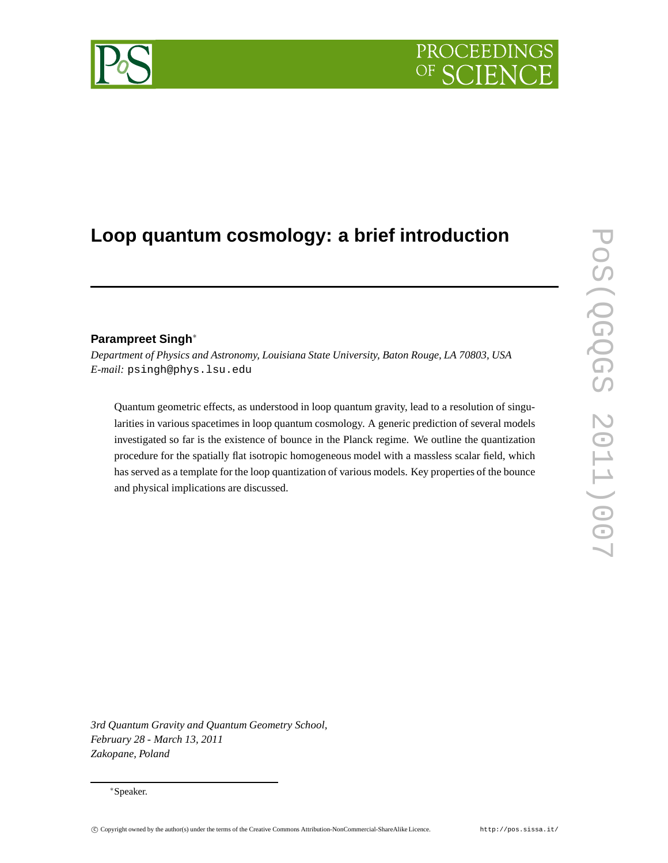# **Loop quantum cosmology: a brief introduction**

# **Parampreet Singh**∗

*Department of Physics and Astronomy, Louisiana State University, Baton Rouge, LA 70803, USA E-mail:* psingh@phys.lsu.edu

Quantum geometric effects, as understood in loop quantum gravity, lead to a resolution of singularities in various spacetimes in loop quantum cosmology. A generic prediction of several models investigated so far is the existence of bounce in the Planck regime. We outline the quantization procedure for the spatially flat isotropic homogeneous model with a massless scalar field, which has served as a template for the loop quantization of various models. Key properties of the bounce and physical implications are discussed.

*3rd Quantum Gravity and Quantum Geometry School, February 28 - March 13, 2011 Zakopane, Poland*



<sup>∗</sup>Speaker.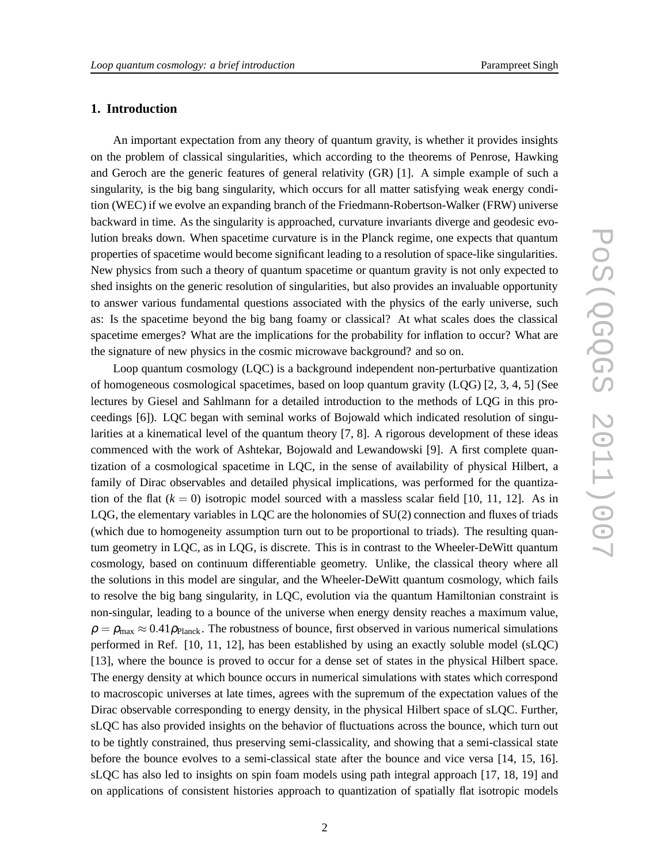# **1. Introduction**

An important expectation from any theory of quantum gravity, is whether it provides insights on the problem of classical singularities, which according to the theorems of Penrose, Hawking and Geroch are the generic features of general relativity (GR) [1]. A simple example of such a singularity, is the big bang singularity, which occurs for all matter satisfying weak energy condition (WEC) if we evolve an expanding branch of the Friedmann-Robertson-Walker (FRW) universe backward in time. As the singularity is approached, curvature invariants diverge and geodesic evolution breaks down. When spacetime curvature is in the Planck regime, one expects that quantum properties of spacetime would become significant leading to a resolution of space-like singularities. New physics from such a theory of quantum spacetime or quantum gravity is not only expected to shed insights on the generic resolution of singularities, but also provides an invaluable opportunity to answer various fundamental questions associated with the physics of the early universe, such as: Is the spacetime beyond the big bang foamy or classical? At what scales does the classical spacetime emerges? What are the implications for the probability for inflation to occur? What are the signature of new physics in the cosmic microwave background? and so on.

Loop quantum cosmology (LQC) is a background independent non-perturbative quantization of homogeneous cosmological spacetimes, based on loop quantum gravity (LQG) [2, 3, 4, 5] (See lectures by Giesel and Sahlmann for a detailed introduction to the methods of LQG in this proceedings [6]). LQC began with seminal works of Bojowald which indicated resolution of singularities at a kinematical level of the quantum theory [7, 8]. A rigorous development of these ideas commenced with the work of Ashtekar, Bojowald and Lewandowski [9]. A first complete quantization of a cosmological spacetime in LQC, in the sense of availability of physical Hilbert, a family of Dirac observables and detailed physical implications, was performed for the quantization of the flat  $(k = 0)$  isotropic model sourced with a massless scalar field [10, 11, 12]. As in LQG, the elementary variables in LQC are the holonomies of SU(2) connection and fluxes of triads (which due to homogeneity assumption turn out to be proportional to triads). The resulting quantum geometry in LQC, as in LQG, is discrete. This is in contrast to the Wheeler-DeWitt quantum cosmology, based on continuum differentiable geometry. Unlike, the classical theory where all the solutions in this model are singular, and the Wheeler-DeWitt quantum cosmology, which fails to resolve the big bang singularity, in LQC, evolution via the quantum Hamiltonian constraint is non-singular, leading to a bounce of the universe when energy density reaches a maximum value,  $\rho = \rho_{\text{max}} \approx 0.41 \rho_{\text{Planck}}$ . The robustness of bounce, first observed in various numerical simulations performed in Ref. [10, 11, 12], has been established by using an exactly soluble model (sLQC) [13], where the bounce is proved to occur for a dense set of states in the physical Hilbert space. The energy density at which bounce occurs in numerical simulations with states which correspond to macroscopic universes at late times, agrees with the supremum of the expectation values of the Dirac observable corresponding to energy density, in the physical Hilbert space of sLQC. Further, sLQC has also provided insights on the behavior of fluctuations across the bounce, which turn out to be tightly constrained, thus preserving semi-classicality, and showing that a semi-classical state before the bounce evolves to a semi-classical state after the bounce and vice versa [14, 15, 16]. sLQC has also led to insights on spin foam models using path integral approach [17, 18, 19] and on applications of consistent histories approach to quantization of spatially flat isotropic models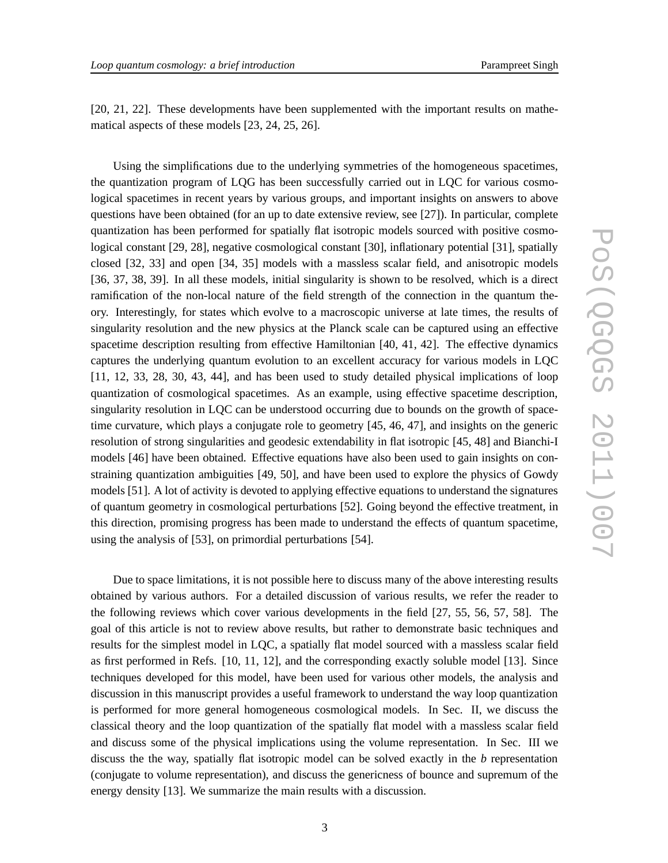[20, 21, 22]. These developments have been supplemented with the important results on mathematical aspects of these models [23, 24, 25, 26].

Using the simplifications due to the underlying symmetries of the homogeneous spacetimes, the quantization program of LQG has been successfully carried out in LQC for various cosmological spacetimes in recent years by various groups, and important insights on answers to above questions have been obtained (for an up to date extensive review, see [27]). In particular, complete quantization has been performed for spatially flat isotropic models sourced with positive cosmological constant [29, 28], negative cosmological constant [30], inflationary potential [31], spatially closed [32, 33] and open [34, 35] models with a massless scalar field, and anisotropic models [36, 37, 38, 39]. In all these models, initial singularity is shown to be resolved, which is a direct ramification of the non-local nature of the field strength of the connection in the quantum theory. Interestingly, for states which evolve to a macroscopic universe at late times, the results of singularity resolution and the new physics at the Planck scale can be captured using an effective spacetime description resulting from effective Hamiltonian [40, 41, 42]. The effective dynamics captures the underlying quantum evolution to an excellent accuracy for various models in LQC [11, 12, 33, 28, 30, 43, 44], and has been used to study detailed physical implications of loop quantization of cosmological spacetimes. As an example, using effective spacetime description, singularity resolution in LQC can be understood occurring due to bounds on the growth of spacetime curvature, which plays a conjugate role to geometry [45, 46, 47], and insights on the generic resolution of strong singularities and geodesic extendability in flat isotropic [45, 48] and Bianchi-I models [46] have been obtained. Effective equations have also been used to gain insights on constraining quantization ambiguities [49, 50], and have been used to explore the physics of Gowdy models [51]. A lot of activity is devoted to applying effective equations to understand the signatures of quantum geometry in cosmological perturbations [52]. Going beyond the effective treatment, in this direction, promising progress has been made to understand the effects of quantum spacetime, using the analysis of [53], on primordial perturbations [54].

Due to space limitations, it is not possible here to discuss many of the above interesting results obtained by various authors. For a detailed discussion of various results, we refer the reader to the following reviews which cover various developments in the field [27, 55, 56, 57, 58]. The goal of this article is not to review above results, but rather to demonstrate basic techniques and results for the simplest model in LQC, a spatially flat model sourced with a massless scalar field as first performed in Refs. [10, 11, 12], and the corresponding exactly soluble model [13]. Since techniques developed for this model, have been used for various other models, the analysis and discussion in this manuscript provides a useful framework to understand the way loop quantization is performed for more general homogeneous cosmological models. In Sec. II, we discuss the classical theory and the loop quantization of the spatially flat model with a massless scalar field and discuss some of the physical implications using the volume representation. In Sec. III we discuss the the way, spatially flat isotropic model can be solved exactly in the *b* representation (conjugate to volume representation), and discuss the genericness of bounce and supremum of the energy density [13]. We summarize the main results with a discussion.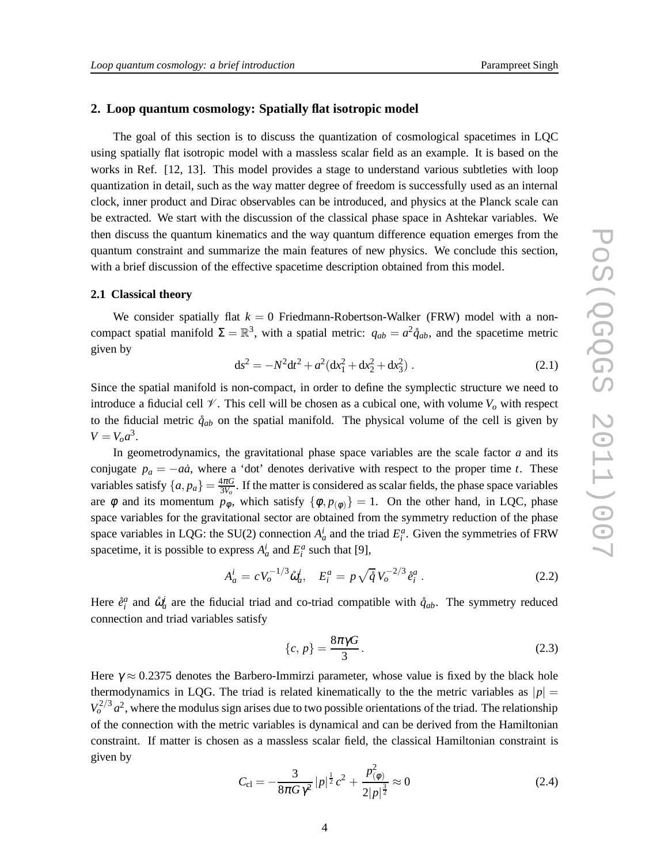#### **2. Loop quantum cosmology: Spatially flat isotropic model**

The goal of this section is to discuss the quantization of cosmological spacetimes in LQC using spatially flat isotropic model with a massless scalar field as an example. It is based on the works in Ref. [12, 13]. This model provides a stage to understand various subtleties with loop quantization in detail, such as the way matter degree of freedom is successfully used as an internal clock, inner product and Dirac observables can be introduced, and physics at the Planck scale can be extracted. We start with the discussion of the classical phase space in Ashtekar variables. We then discuss the quantum kinematics and the way quantum difference equation emerges from the quantum constraint and summarize the main features of new physics. We conclude this section, with a brief discussion of the effective spacetime description obtained from this model.

#### **2.1 Classical theory**

We consider spatially flat  $k = 0$  Friedmann-Robertson-Walker (FRW) model with a noncompact spatial manifold  $\Sigma = \mathbb{R}^3$ , with a spatial metric:  $q_{ab} = a^2 \mathring{q}_{ab}$ , and the spacetime metric given by

$$
ds^{2} = -N^{2}dt^{2} + a^{2}(dx_{1}^{2} + dx_{2}^{2} + dx_{3}^{2}).
$$
 (2.1)

Since the spatial manifold is non-compact, in order to define the symplectic structure we need to introduce a fiducial cell  $\mathcal V$ . This cell will be chosen as a cubical one, with volume  $V$ <sup>*o*</sup> with respect to the fiducial metric  $\mathring{q}_{ab}$  on the spatial manifold. The physical volume of the cell is given by  $V = V_o a^3$ .

In geometrodynamics, the gravitational phase space variables are the scale factor *a* and its conjugate  $p_a = -a\dot{a}$ , where a 'dot' denotes derivative with respect to the proper time *t*. These variables satisfy  $\{a, p_a\} = \frac{4\pi G}{3V_o}$  $\frac{4\pi G}{3V_o}$ . If the matter is considered as scalar fields, the phase space variables are  $\phi$  and its momentum  $p_{\phi}$ , which satisfy  $\{\phi, p_{(\phi)}\} = 1$ . On the other hand, in LQC, phase space variables for the gravitational sector are obtained from the symmetry reduction of the phase space variables in LQG: the SU(2) connection  $A_a^i$  and the triad  $E_i^a$ . Given the symmetries of FRW spacetime, it is possible to express  $A_a^i$  and  $E_i^a$  such that [9],

$$
A_a^i = cV_o^{-1/3}\hat{\omega}_a^i, \quad E_i^a = p\sqrt{\mathring{q}}V_o^{-2/3}\mathring{e}_i^a \,. \tag{2.2}
$$

Here  $\hat{e}^a_i$  and  $\hat{\omega}^i_a$  are the fiducial triad and co-triad compatible with  $\hat{q}_{ab}$ . The symmetry reduced connection and triad variables satisfy

$$
\{c, p\} = \frac{8\pi\gamma G}{3}.
$$
\n
$$
(2.3)
$$

Here  $\gamma \approx 0.2375$  denotes the Barbero-Immirzi parameter, whose value is fixed by the black hole thermodynamics in LQG. The triad is related kinematically to the the metric variables as  $|p| =$  $V_o^{2/3} a^2$ , where the modulus sign arises due to two possible orientations of the triad. The relationship of the connection with the metric variables is dynamical and can be derived from the Hamiltonian constraint. If matter is chosen as a massless scalar field, the classical Hamiltonian constraint is given by

$$
C_{\rm cl} = -\frac{3}{8\pi G \gamma^2} |p|^{\frac{1}{2}} c^2 + \frac{p_{(\phi)}^2}{2|p|^{\frac{3}{2}}} \approx 0 \tag{2.4}
$$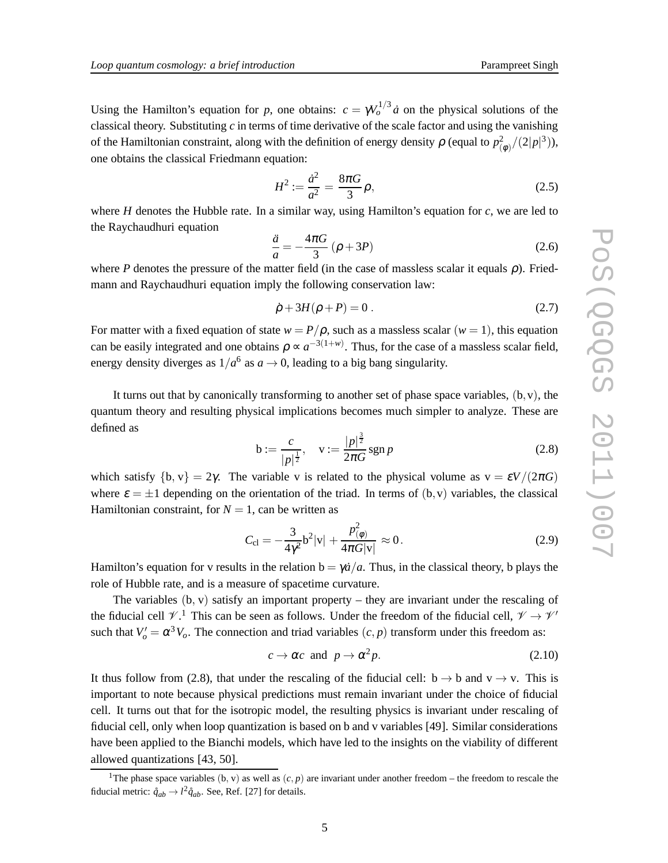Using the Hamilton's equation for *p*, one obtains:  $c = \gamma V_o^{1/3} \dot{a}$  on the physical solutions of the classical theory. Substituting *c* in terms of time derivative of the scale factor and using the vanishing of the Hamiltonian constraint, along with the definition of energy density  $\rho$  (equal to  $p_L^2$  $\binom{2}{9}/(2|p|^3),$ one obtains the classical Friedmann equation:

$$
H^2 := \frac{\dot{a}^2}{a^2} = \frac{8\pi G}{3} \rho,
$$
\n(2.5)

where *H* denotes the Hubble rate. In a similar way, using Hamilton's equation for *c*, we are led to the Raychaudhuri equation

$$
\frac{\ddot{a}}{a} = -\frac{4\pi G}{3} \left( \rho + 3P \right) \tag{2.6}
$$

where *P* denotes the pressure of the matter field (in the case of massless scalar it equals  $\rho$ ). Friedmann and Raychaudhuri equation imply the following conservation law:

$$
\dot{\rho} + 3H(\rho + P) = 0. \tag{2.7}
$$

For matter with a fixed equation of state  $w = P/\rho$ , such as a massless scalar  $(w = 1)$ , this equation can be easily integrated and one obtains  $\rho \propto a^{-3(1+w)}$ . Thus, for the case of a massless scalar field, energy density diverges as  $1/a^6$  as  $a \to 0$ , leading to a big bang singularity.

It turns out that by canonically transforming to another set of phase space variables,  $(b, v)$ , the quantum theory and resulting physical implications becomes much simpler to analyze. These are defined as

$$
b := \frac{c}{|p|^{\frac{1}{2}}}, \quad v := \frac{|p|^{\frac{3}{2}}}{2\pi G} \operatorname{sgn} p \tag{2.8}
$$

which satisfy  $\{b, v\} = 2\gamma$ . The variable v is related to the physical volume as  $v = \varepsilon V/(2\pi G)$ where  $\varepsilon = \pm 1$  depending on the orientation of the triad. In terms of (b, v) variables, the classical Hamiltonian constraint, for  $N = 1$ , can be written as

$$
C_{\rm cl} = -\frac{3}{4\gamma^2} b^2 |v| + \frac{p_{(\phi)}^2}{4\pi G |v|} \approx 0.
$$
 (2.9)

Hamilton's equation for v results in the relation  $b = \gamma \dot{a}/a$ . Thus, in the classical theory, b plays the role of Hubble rate, and is a measure of spacetime curvature.

The variables  $(b, v)$  satisfy an important property – they are invariant under the rescaling of the fiducial cell  $\mathcal{V}$ .<sup>1</sup> This can be seen as follows. Under the freedom of the fiducial cell,  $\mathcal{V} \to \mathcal{V}'$ such that  $V'_o = \alpha^3 V_o$ . The connection and triad variables  $(c, p)$  transform under this freedom as:

$$
c \to \alpha c \text{ and } p \to \alpha^2 p. \tag{2.10}
$$

It thus follow from (2.8), that under the rescaling of the fiducial cell:  $b \rightarrow b$  and  $v \rightarrow v$ . This is important to note because physical predictions must remain invariant under the choice of fiducial cell. It turns out that for the isotropic model, the resulting physics is invariant under rescaling of fiducial cell, only when loop quantization is based on b and v variables [49]. Similar considerations have been applied to the Bianchi models, which have led to the insights on the viability of different allowed quantizations [43, 50].

<sup>&</sup>lt;sup>1</sup>The phase space variables (b, v) as well as  $(c, p)$  are invariant under another freedom – the freedom to rescale the fiducial metric:  $\mathring{q}_{ab} \rightarrow l^2 \mathring{q}_{ab}$ . See, Ref. [27] for details.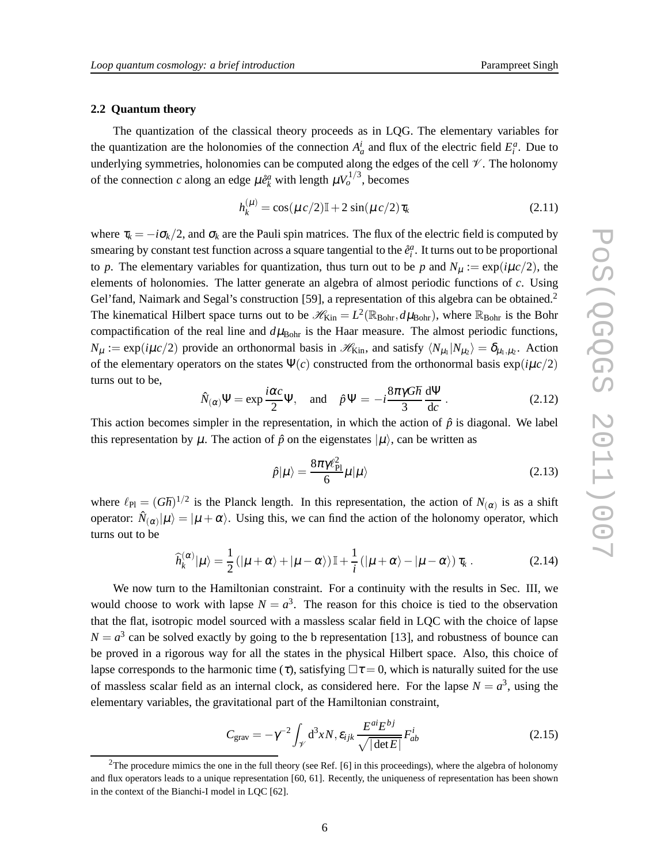#### **2.2 Quantum theory**

The quantization of the classical theory proceeds as in LQG. The elementary variables for the quantization are the holonomies of the connection  $A^i_a$  and flux of the electric field  $E^a_i$ . Due to underlying symmetries, holonomies can be computed along the edges of the cell  $\mathcal V$ . The holonomy of the connection *c* along an edge  $\mu \hat{e}_k^a$  with length  $\mu V_o^{1/3}$ , becomes

$$
h_k^{(\mu)} = \cos(\mu c/2)\mathbb{I} + 2\sin(\mu c/2)\tau_k
$$
 (2.11)

where  $\tau_k = -i\sigma_k/2$ , and  $\sigma_k$  are the Pauli spin matrices. The flux of the electric field is computed by smearing by constant test function across a square tangential to the  $\mathring{e}^a_i$ . It turns out to be proportional to *p*. The elementary variables for quantization, thus turn out to be *p* and  $N_\mu := \exp(i\mu c/2)$ , the elements of holonomies. The latter generate an algebra of almost periodic functions of *c*. Using Gel'fand, Naimark and Segal's construction [59], a representation of this algebra can be obtained.<sup>2</sup> The kinematical Hilbert space turns out to be  $\mathscr{H}_{\text{Kin}} = L^2(\mathbb{R}_{\text{Bohr}}, d\mu_{\text{Bohr}})$ , where  $\mathbb{R}_{\text{Bohr}}$  is the Bohr compactification of the real line and  $d\mu_{\text{Bohr}}$  is the Haar measure. The almost periodic functions,  $N_{\mu} := \exp(i\mu c/2)$  provide an orthonormal basis in  $\mathcal{H}_{\text{Kin}}$ , and satisfy  $\langle N_{\mu_1} | N_{\mu_2} \rangle = \delta_{\mu_1, \mu_2}$ . Action of the elementary operators on the states  $\Psi(c)$  constructed from the orthonormal basis  $\exp(i\mu c/2)$ turns out to be,

$$
\hat{N}_{(\alpha)}\Psi = \exp\frac{i\alpha c}{2}\Psi, \text{ and } \hat{p}\Psi = -i\frac{8\pi\gamma G\hbar}{3}\frac{d\Psi}{dc}.
$$
 (2.12)

This action becomes simpler in the representation, in which the action of  $\hat{p}$  is diagonal. We label this representation by  $\mu$ . The action of  $\hat{p}$  on the eigenstates  $|\mu\rangle$ , can be written as

$$
\hat{p}|\mu\rangle = \frac{8\pi\gamma\ell_{\rm Pl}^2}{6}\mu|\mu\rangle\tag{2.13}
$$

where  $\ell_{\text{Pl}} = (G\hbar)^{1/2}$  is the Planck length. In this representation, the action of  $N_{(\alpha)}$  is as a shift operator:  $\hat{N}_{(\alpha)}|\mu\rangle = |\mu + \alpha\rangle$ . Using this, we can find the action of the holonomy operator, which turns out to be

$$
\widehat{h}_{k}^{(\alpha)}|\mu\rangle = \frac{1}{2} (|\mu + \alpha\rangle + |\mu - \alpha\rangle) \mathbb{I} + \frac{1}{i} (|\mu + \alpha\rangle - |\mu - \alpha\rangle) \tau_{k}.
$$
 (2.14)

We now turn to the Hamiltonian constraint. For a continuity with the results in Sec. III, we would choose to work with lapse  $N = a^3$ . The reason for this choice is tied to the observation that the flat, isotropic model sourced with a massless scalar field in LQC with the choice of lapse  $N = a<sup>3</sup>$  can be solved exactly by going to the b representation [13], and robustness of bounce can be proved in a rigorous way for all the states in the physical Hilbert space. Also, this choice of lapse corresponds to the harmonic time (τ), satisfying  $\Box \tau = 0$ , which is naturally suited for the use of massless scalar field as an internal clock, as considered here. For the lapse  $N = a^3$ , using the elementary variables, the gravitational part of the Hamiltonian constraint,

$$
C_{\text{grav}} = -\gamma^{-2} \int_{\mathcal{V}} d^3 x N, \varepsilon_{ijk} \frac{E^{ai} E^{bj}}{\sqrt{|\det E|}} F_{ab}^i \tag{2.15}
$$

<sup>&</sup>lt;sup>2</sup>The procedure mimics the one in the full theory (see Ref. [6] in this proceedings), where the algebra of holonomy and flux operators leads to a unique representation [60, 61]. Recently, the uniqueness of representation has been shown in the context of the Bianchi-I model in LQC [62].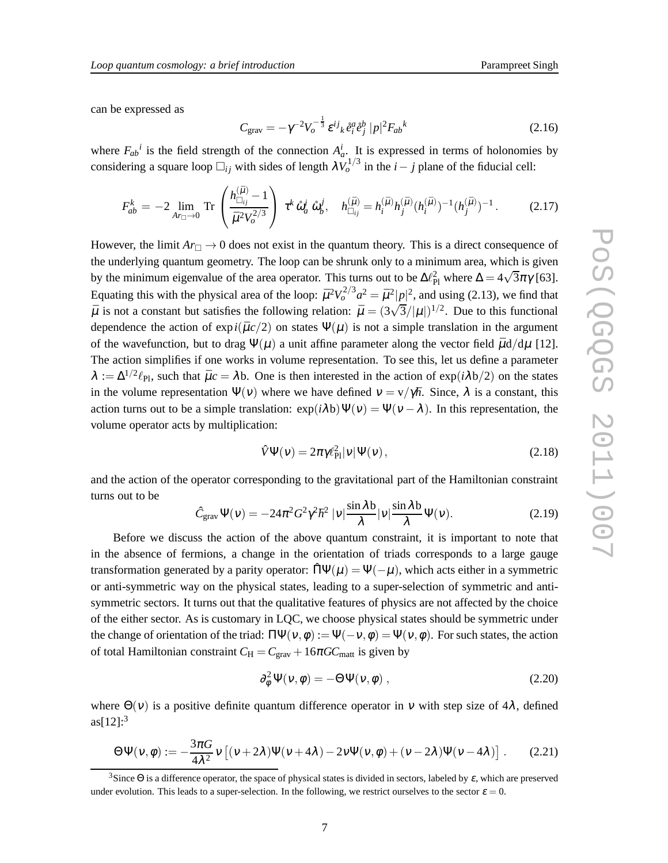can be expressed as

$$
C_{\text{grav}} = -\gamma^{-2} V_o^{-\frac{1}{3}} \varepsilon^{ij}{}_k \, \hat{e}^a_i \hat{e}^b_j \, |p|^2 F_{ab}{}^k \tag{2.16}
$$

where  $F_{ab}^i$  is the field strength of the connection  $A_a^i$ . It is expressed in terms of holonomies by considering a square loop  $\square_{ij}$  with sides of length  $\lambda V_o^{1/3}$  in the *i* − *j* plane of the fiducial cell:

$$
F_{ab}^k = -2 \lim_{Ar_{\Box} \to 0} \text{Tr} \left( \frac{h_{\Box_{ij}}^{(\bar{\mu})} - 1}{\bar{\mu}^2 V_o^{2/3}} \right) \tau^k \, \mathring{\omega}_a^i \, \mathring{\omega}_b^j, \quad h_{\Box_{ij}}^{(\bar{\mu})} = h_i^{(\bar{\mu})} h_j^{(\bar{\mu})} (h_i^{(\bar{\mu})})^{-1} (h_j^{(\bar{\mu})})^{-1}.
$$
 (2.17)

However, the limit  $Ar_{\Box} \rightarrow 0$  does not exist in the quantum theory. This is a direct consequence of the underlying quantum geometry. The loop can be shrunk only to a minimum area, which is given by the minimum eigenvalue of the area operator. This turns out to be  $\Delta \ell_{\rm Pl}^2$  where  $\Delta = 4\sqrt{3}\pi\gamma$  [63]. Equating this with the physical area of the loop:  $\bar{\mu}^2 V_o^{2/3} a^2 = \bar{\mu}^2 |p|^2$ , and using (2.13), we find that  $\bar{\mu}$  is not a constant but satisfies the following relation:  $\bar{\mu} = (3\sqrt{3}/|\mu|)^{1/2}$ . Due to this functional dependence the action of  $exp(i\bar{\mu}c/2)$  on states  $\Psi(\mu)$  is not a simple translation in the argument of the wavefunction, but to drag  $\Psi(\mu)$  a unit affine parameter along the vector field  $\bar{\mu}d/d\mu$  [12]. The action simplifies if one works in volume representation. To see this, let us define a parameter  $\lambda := \Delta^{1/2} \ell_{\text{Pl}}$ , such that  $\bar{\mu}c = \lambda b$ . One is then interested in the action of exp( $i\lambda b/2$ ) on the states in the volume representation  $\Psi(v)$  where we have defined  $v = v/\gamma \hbar$ . Since,  $\lambda$  is a constant, this action turns out to be a simple translation:  $\exp(i\lambda b)\Psi(v) = \Psi(v - \lambda)$ . In this representation, the volume operator acts by multiplication:

$$
\hat{V}\Psi(v) = 2\pi \gamma \ell_{\rm Pl}^2 |v|\Psi(v),\tag{2.18}
$$

and the action of the operator corresponding to the gravitational part of the Hamiltonian constraint turns out to be

$$
\hat{C}_{\text{grav}}\Psi(\nu) = -24\pi^2 G^2 \gamma^2 \hbar^2 |\nu| \frac{\sin \lambda b}{\lambda} |\nu| \frac{\sin \lambda b}{\lambda} \Psi(\nu). \tag{2.19}
$$

Before we discuss the action of the above quantum constraint, it is important to note that in the absence of fermions, a change in the orientation of triads corresponds to a large gauge transformation generated by a parity operator:  $\hat{\Pi}\Psi(\mu) = \Psi(-\mu)$ , which acts either in a symmetric or anti-symmetric way on the physical states, leading to a super-selection of symmetric and antisymmetric sectors. It turns out that the qualitative features of physics are not affected by the choice of the either sector. As is customary in LQC, we choose physical states should be symmetric under the change of orientation of the triad:  $\Pi \Psi(\nu, \phi) := \Psi(-\nu, \phi) = \Psi(\nu, \phi)$ . For such states, the action of total Hamiltonian constraint  $C_H = C_{grav} + 16\pi G C_{matt}$  is given by

$$
\partial_{\phi}^{2} \Psi(\nu, \phi) = -\Theta \Psi(\nu, \phi) , \qquad (2.20)
$$

where  $\Theta(v)$  is a positive definite quantum difference operator in v with step size of 4λ, defined  $as[12]:<sup>3</sup>$ 

$$
\Theta \Psi(\nu,\phi) := -\frac{3\pi G}{4\lambda^2} \nu \left[ (\nu+2\lambda) \Psi(\nu+4\lambda) - 2\nu \Psi(\nu,\phi) + (\nu-2\lambda) \Psi(\nu-4\lambda) \right].
$$
 (2.21)

<sup>&</sup>lt;sup>3</sup>Since  $\Theta$  is a difference operator, the space of physical states is divided in sectors, labeled by  $\varepsilon$ , which are preserved under evolution. This leads to a super-selection. In the following, we restrict ourselves to the sector  $\varepsilon = 0$ .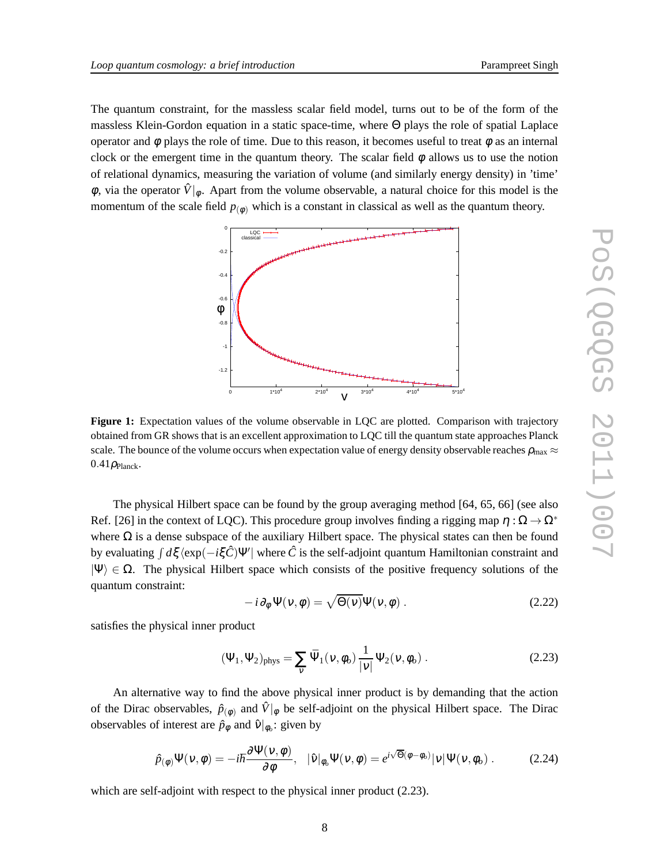The quantum constraint, for the massless scalar field model, turns out to be of the form of the massless Klein-Gordon equation in a static space-time, where Θ plays the role of spatial Laplace operator and  $\phi$  plays the role of time. Due to this reason, it becomes useful to treat  $\phi$  as an internal clock or the emergent time in the quantum theory. The scalar field  $\phi$  allows us to use the notion of relational dynamics, measuring the variation of volume (and similarly energy density) in 'time'  $\phi$ , via the operator  $\hat{V}|_{\phi}$ . Apart from the volume observable, a natural choice for this model is the momentum of the scale field  $p_{(\phi)}$  which is a constant in classical as well as the quantum theory.



**Figure 1:** Expectation values of the volume observable in LQC are plotted. Comparison with trajectory obtained from GR shows that is an excellent approximation to LQC till the quantum state approaches Planck scale. The bounce of the volume occurs when expectation value of energy density observable reaches  $\rho_{\rm max} \approx$  $0.41 \rho_{\text{Planck}}$ .

The physical Hilbert space can be found by the group averaging method [64, 65, 66] (see also Ref. [26] in the context of LQC). This procedure group involves finding a rigging map  $\eta : \Omega \to \Omega^*$ where  $\Omega$  is a dense subspace of the auxiliary Hilbert space. The physical states can then be found by evaluating ∫ *d*ξ  $\langle \exp(-i\xi \hat{C})\Psi' |$  where  $\hat{C}$  is the self-adjoint quantum Hamiltonian constraint and  $|\Psi\rangle \in \Omega$ . The physical Hilbert space which consists of the positive frequency solutions of the quantum constraint:

$$
-i\partial_{\phi}\Psi(v,\phi) = \sqrt{\Theta(v)}\Psi(v,\phi).
$$
 (2.22)

satisfies the physical inner product

$$
(\Psi_1, \Psi_2)_{\text{phys}} = \sum_{\nu} \bar{\Psi}_1(\nu, \phi_o) \frac{1}{|\nu|} \Psi_2(\nu, \phi_o) . \qquad (2.23)
$$

An alternative way to find the above physical inner product is by demanding that the action of the Dirac observables,  $\hat{p}_{(\phi)}$  and  $\hat{V}|_{\phi}$  be self-adjoint on the physical Hilbert space. The Dirac observables of interest are  $\hat{p}_{\phi}$  and  $\hat{v}|_{\phi_o}$ : given by

$$
\hat{p}_{(\phi)}\Psi(\mathbf{v},\phi) = -i\hbar \frac{\partial \Psi(\mathbf{v},\phi)}{\partial \phi}, \quad |\hat{\mathbf{v}}|_{\phi_o}\Psi(\mathbf{v},\phi) = e^{i\sqrt{\Theta}(\phi - \phi_o)}|\mathbf{v}|\Psi(\mathbf{v},\phi_o) \,.
$$

which are self-adjoint with respect to the physical inner product (2.23).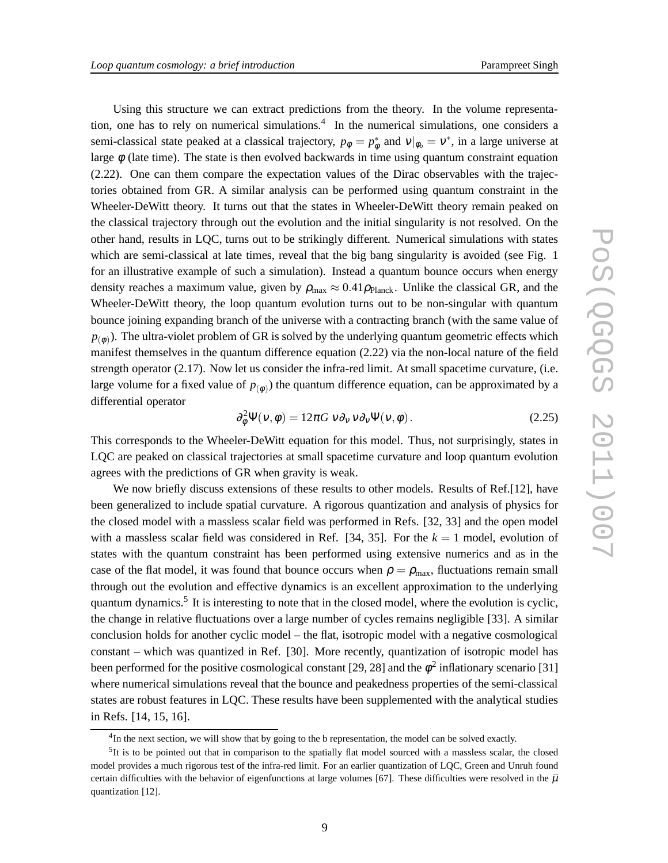Using this structure we can extract predictions from the theory. In the volume representation, one has to rely on numerical simulations.<sup>4</sup> In the numerical simulations, one considers a semi-classical state peaked at a classical trajectory,  $p_{\phi} = p_{\phi}^*$  and  $v|_{\phi_o} = v^*$ , in a large universe at large  $\phi$  (late time). The state is then evolved backwards in time using quantum constraint equation (2.22). One can them compare the expectation values of the Dirac observables with the trajectories obtained from GR. A similar analysis can be performed using quantum constraint in the Wheeler-DeWitt theory. It turns out that the states in Wheeler-DeWitt theory remain peaked on the classical trajectory through out the evolution and the initial singularity is not resolved. On the other hand, results in LQC, turns out to be strikingly different. Numerical simulations with states which are semi-classical at late times, reveal that the big bang singularity is avoided (see Fig. 1) for an illustrative example of such a simulation). Instead a quantum bounce occurs when energy density reaches a maximum value, given by  $\rho_{\text{max}} \approx 0.41 \rho_{\text{Planck}}$ . Unlike the classical GR, and the Wheeler-DeWitt theory, the loop quantum evolution turns out to be non-singular with quantum bounce joining expanding branch of the universe with a contracting branch (with the same value of  $p_{(\phi)}$ ). The ultra-violet problem of GR is solved by the underlying quantum geometric effects which manifest themselves in the quantum difference equation (2.22) via the non-local nature of the field strength operator (2.17). Now let us consider the infra-red limit. At small spacetime curvature, (i.e. large volume for a fixed value of  $p_{(\phi)}$ ) the quantum difference equation, can be approximated by a differential operator

$$
\partial_{\phi}^{2} \Psi(\nu, \phi) = 12\pi G \nu \partial_{\nu} \nu \partial_{\nu} \Psi(\nu, \phi).
$$
 (2.25)

This corresponds to the Wheeler-DeWitt equation for this model. Thus, not surprisingly, states in LQC are peaked on classical trajectories at small spacetime curvature and loop quantum evolution agrees with the predictions of GR when gravity is weak.

We now briefly discuss extensions of these results to other models. Results of Ref.[12], have been generalized to include spatial curvature. A rigorous quantization and analysis of physics for the closed model with a massless scalar field was performed in Refs. [32, 33] and the open model with a massless scalar field was considered in Ref.  $[34, 35]$ . For the  $k = 1$  model, evolution of states with the quantum constraint has been performed using extensive numerics and as in the case of the flat model, it was found that bounce occurs when  $\rho = \rho_{\text{max}}$ , fluctuations remain small through out the evolution and effective dynamics is an excellent approximation to the underlying quantum dynamics.<sup>5</sup> It is interesting to note that in the closed model, where the evolution is cyclic, the change in relative fluctuations over a large number of cycles remains negligible [33]. A similar conclusion holds for another cyclic model – the flat, isotropic model with a negative cosmological constant – which was quantized in Ref. [30]. More recently, quantization of isotropic model has been performed for the positive cosmological constant [29, 28] and the  $\phi^2$  inflationary scenario [31] where numerical simulations reveal that the bounce and peakedness properties of the semi-classical states are robust features in LQC. These results have been supplemented with the analytical studies in Refs. [14, 15, 16].

<sup>&</sup>lt;sup>4</sup>In the next section, we will show that by going to the b representation, the model can be solved exactly.

 ${}^{5}$ It is to be pointed out that in comparison to the spatially flat model sourced with a massless scalar, the closed model provides a much rigorous test of the infra-red limit. For an earlier quantization of LQC, Green and Unruh found certain difficulties with the behavior of eigenfunctions at large volumes [67]. These difficulties were resolved in the  $\bar{\mu}$ quantization [12].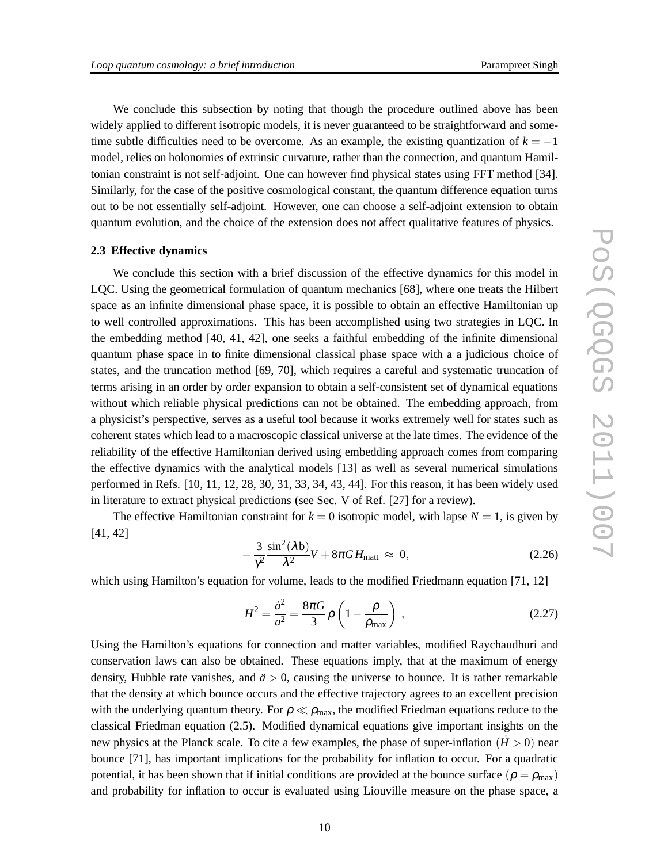We conclude this subsection by noting that though the procedure outlined above has been widely applied to different isotropic models, it is never guaranteed to be straightforward and sometime subtle difficulties need to be overcome. As an example, the existing quantization of  $k = -1$ model, relies on holonomies of extrinsic curvature, rather than the connection, and quantum Hamiltonian constraint is not self-adjoint. One can however find physical states using FFT method [34]. Similarly, for the case of the positive cosmological constant, the quantum difference equation turns out to be not essentially self-adjoint. However, one can choose a self-adjoint extension to obtain quantum evolution, and the choice of the extension does not affect qualitative features of physics.

#### **2.3 Effective dynamics**

We conclude this section with a brief discussion of the effective dynamics for this model in LQC. Using the geometrical formulation of quantum mechanics [68], where one treats the Hilbert space as an infinite dimensional phase space, it is possible to obtain an effective Hamiltonian up to well controlled approximations. This has been accomplished using two strategies in LQC. In the embedding method [40, 41, 42], one seeks a faithful embedding of the infinite dimensional quantum phase space in to finite dimensional classical phase space with a a judicious choice of states, and the truncation method [69, 70], which requires a careful and systematic truncation of terms arising in an order by order expansion to obtain a self-consistent set of dynamical equations without which reliable physical predictions can not be obtained. The embedding approach, from a physicist's perspective, serves as a useful tool because it works extremely well for states such as coherent states which lead to a macroscopic classical universe at the late times. The evidence of the reliability of the effective Hamiltonian derived using embedding approach comes from comparing the effective dynamics with the analytical models [13] as well as several numerical simulations performed in Refs. [10, 11, 12, 28, 30, 31, 33, 34, 43, 44]. For this reason, it has been widely used in literature to extract physical predictions (see Sec. V of Ref. [27] for a review).

The effective Hamiltonian constraint for  $k = 0$  isotropic model, with lapse  $N = 1$ , is given by [41, 42]

$$
-\frac{3}{\gamma^2} \frac{\sin^2(\lambda b)}{\lambda^2} V + 8\pi G H_{\text{matt}} \approx 0, \qquad (2.26)
$$

which using Hamilton's equation for volume, leads to the modified Friedmann equation [71, 12]

$$
H^{2} = \frac{\dot{a}^{2}}{a^{2}} = \frac{8\pi G}{3} \rho \left( 1 - \frac{\rho}{\rho_{\text{max}}} \right) ,
$$
 (2.27)

Using the Hamilton's equations for connection and matter variables, modified Raychaudhuri and conservation laws can also be obtained. These equations imply, that at the maximum of energy density, Hubble rate vanishes, and  $\ddot{a} > 0$ , causing the universe to bounce. It is rather remarkable that the density at which bounce occurs and the effective trajectory agrees to an excellent precision with the underlying quantum theory. For  $\rho \ll \rho_{\text{max}}$ , the modified Friedman equations reduce to the classical Friedman equation (2.5). Modified dynamical equations give important insights on the new physics at the Planck scale. To cite a few examples, the phase of super-inflation  $(H > 0)$  near bounce [71], has important implications for the probability for inflation to occur. For a quadratic potential, it has been shown that if initial conditions are provided at the bounce surface ( $\rho = \rho_{\text{max}}$ ) and probability for inflation to occur is evaluated using Liouville measure on the phase space, a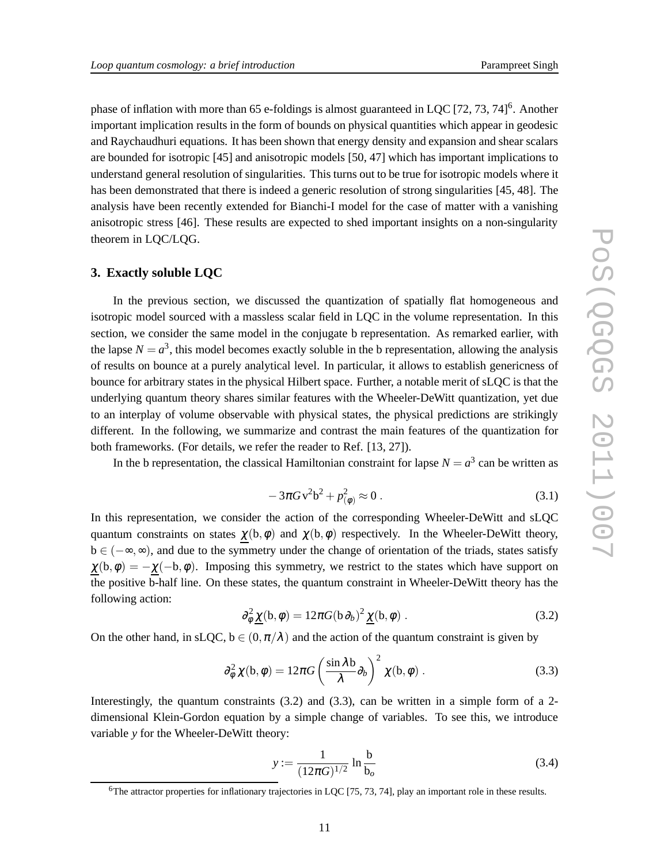phase of inflation with more than 65 e-foldings is almost guaranteed in LQC [72, 73, 74]<sup>6</sup>. Another important implication results in the form of bounds on physical quantities which appear in geodesic and Raychaudhuri equations. It has been shown that energy density and expansion and shear scalars are bounded for isotropic [45] and anisotropic models [50, 47] which has important implications to understand general resolution of singularities. This turns out to be true for isotropic models where it has been demonstrated that there is indeed a generic resolution of strong singularities [45, 48]. The analysis have been recently extended for Bianchi-I model for the case of matter with a vanishing anisotropic stress [46]. These results are expected to shed important insights on a non-singularity theorem in LQC/LQG.

#### **3. Exactly soluble LQC**

In the previous section, we discussed the quantization of spatially flat homogeneous and isotropic model sourced with a massless scalar field in LQC in the volume representation. In this section, we consider the same model in the conjugate b representation. As remarked earlier, with the lapse  $N = a^3$ , this model becomes exactly soluble in the b representation, allowing the analysis of results on bounce at a purely analytical level. In particular, it allows to establish genericness of bounce for arbitrary states in the physical Hilbert space. Further, a notable merit of sLQC is that the underlying quantum theory shares similar features with the Wheeler-DeWitt quantization, yet due to an interplay of volume observable with physical states, the physical predictions are strikingly different. In the following, we summarize and contrast the main features of the quantization for both frameworks. (For details, we refer the reader to Ref. [13, 27]).

In the b representation, the classical Hamiltonian constraint for lapse  $N = a^3$  can be written as

$$
-3\pi G v^2 b^2 + p_{(\phi)}^2 \approx 0.
$$
 (3.1)

In this representation, we consider the action of the corresponding Wheeler-DeWitt and sLQC quantum constraints on states  $\chi(b,\phi)$  and  $\chi(b,\phi)$  respectively. In the Wheeler-DeWitt theory, b ∈ (−∞,∞), and due to the symmetry under the change of orientation of the triads, states satisfy  $\chi(b,\phi) = -\chi(-b,\phi)$ . Imposing this symmetry, we restrict to the states which have support on the positive b-half line. On these states, the quantum constraint in Wheeler-DeWitt theory has the following action:

$$
\partial_{\phi}^{2} \underline{\chi}(\mathbf{b}, \phi) = 12\pi G(\mathbf{b}\partial_{b})^{2} \underline{\chi}(\mathbf{b}, \phi) . \qquad (3.2)
$$

On the other hand, in sLQC,  $b \in (0, \pi/\lambda)$  and the action of the quantum constraint is given by

$$
\partial_{\phi}^{2} \chi(b,\phi) = 12\pi G \left(\frac{\sin \lambda b}{\lambda} \partial_{b}\right)^{2} \chi(b,\phi) . \tag{3.3}
$$

Interestingly, the quantum constraints  $(3.2)$  and  $(3.3)$ , can be written in a simple form of a 2dimensional Klein-Gordon equation by a simple change of variables. To see this, we introduce variable *y* for the Wheeler-DeWitt theory:

$$
y := \frac{1}{(12\pi G)^{1/2}} \ln \frac{b}{b_o}
$$
 (3.4)

 $6$ The attractor properties for inflationary trajectories in LQC [75, 73, 74], play an important role in these results.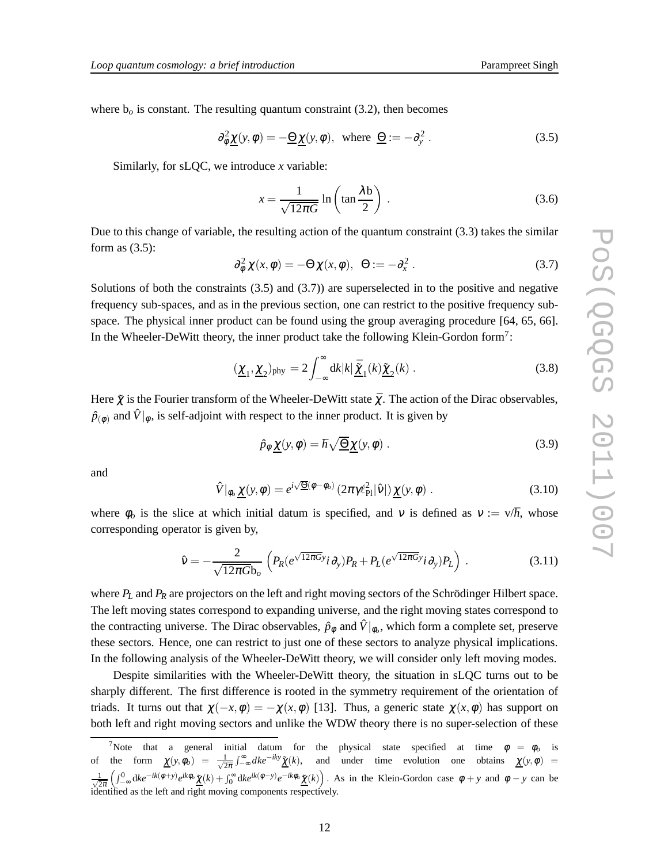where  $b<sub>o</sub>$  is constant. The resulting quantum constraint (3.2), then becomes

$$
\partial_{\phi}^{2} \underline{\chi}(y, \phi) = -\underline{\Theta} \underline{\chi}(y, \phi), \text{ where } \underline{\Theta} := -\partial_{y}^{2}.
$$
 (3.5)

Similarly, for sLQC, we introduce *x* variable:

$$
x = \frac{1}{\sqrt{12\pi G}} \ln \left( \tan \frac{\lambda b}{2} \right) . \tag{3.6}
$$

Due to this change of variable, the resulting action of the quantum constraint (3.3) takes the similar form as (3.5):

$$
\partial_{\phi}^{2} \chi(x, \phi) = -\Theta \chi(x, \phi), \ \Theta := -\partial_{x}^{2} \ . \tag{3.7}
$$

Solutions of both the constraints  $(3.5)$  and  $(3.7)$ ) are superselected in to the positive and negative frequency sub-spaces, and as in the previous section, one can restrict to the positive frequency subspace. The physical inner product can be found using the group averaging procedure [64, 65, 66]. In the Wheeler-DeWitt theory, the inner product take the following Klein-Gordon form<sup>7</sup>:

$$
(\underline{\chi}_1, \underline{\chi}_2)_{\text{phy}} = 2 \int_{-\infty}^{\infty} dk |k| \underline{\tilde{\chi}}_1(k) \underline{\tilde{\chi}}_2(k) . \tag{3.8}
$$

Here  $\tilde{\chi}$  is the Fourier transform of the Wheeler-DeWitt state  $\bar{\chi}$ . The action of the Dirac observables,  $\hat{p}_{(\phi)}$  and  $\hat{V}|_{\phi}$ , is self-adjoint with respect to the inner product. It is given by

$$
\hat{p}_{\phi} \underline{\chi}(y,\phi) = \hbar \sqrt{\underline{\Theta}} \underline{\chi}(y,\phi) . \qquad (3.9)
$$

and

$$
\hat{V}|_{\phi_o} \underline{\chi}(y,\phi) = e^{i\sqrt{\underline{\Theta}}(\phi-\phi_o)} \left(2\pi\gamma \ell_{\text{Pl}}^2|\hat{v}|\right) \underline{\chi}(y,\phi) \tag{3.10}
$$

where  $\phi_o$  is the slice at which initial datum is specified, and v is defined as  $v := v/\hbar$ , whose corresponding operator is given by,

$$
\hat{\mathbf{v}} = -\frac{2}{\sqrt{12\pi G}b_o} \left( P_R(e^{\sqrt{12\pi G}}i\partial_y) P_R + P_L(e^{\sqrt{12\pi G}}i\partial_y) P_L \right) . \tag{3.11}
$$

where  $P_L$  and  $P_R$  are projectors on the left and right moving sectors of the Schrödinger Hilbert space. The left moving states correspond to expanding universe, and the right moving states correspond to the contracting universe. The Dirac observables,  $\hat{p}_{\phi}$  and  $\hat{V}|_{\phi_o}$ , which form a complete set, preserve these sectors. Hence, one can restrict to just one of these sectors to analyze physical implications. In the following analysis of the Wheeler-DeWitt theory, we will consider only left moving modes.

Despite similarities with the Wheeler-DeWitt theory, the situation in sLQC turns out to be sharply different. The first difference is rooted in the symmetry requirement of the orientation of triads. It turns out that  $\chi(-x, \phi) = -\chi(x, \phi)$  [13]. Thus, a generic state  $\chi(x, \phi)$  has support on both left and right moving sectors and unlike the WDW theory there is no super-selection of these

<sup>&</sup>lt;sup>7</sup>Note that a general initial datum for the physical state specified at time  $\phi = \phi_o$  is of the form  $\chi(y, \phi_o) = \frac{1}{\sqrt{2}}$  $\frac{1}{2\pi} \int_{-\infty}^{\infty} dk e^{-iky} \underline{\tilde{\chi}}(k)$ , and under time evolution one obtains  $\underline{\chi}(y,\phi)$  =  $\frac{1}{\sqrt{2}}$  $\frac{1}{2\pi}\left(\int_{-\infty}^{0} dk e^{-ik(\phi+y)} e^{ik\phi} \underline{\tilde{\chi}}(k) + \int_{0}^{\infty} dk e^{ik(\phi-y)} e^{-ik\phi} \underline{\tilde{\chi}}(k)\right).$  As in the Klein-Gordon case  $\phi + y$  and  $\phi - y$  can be identified as the left and right moving components respectively.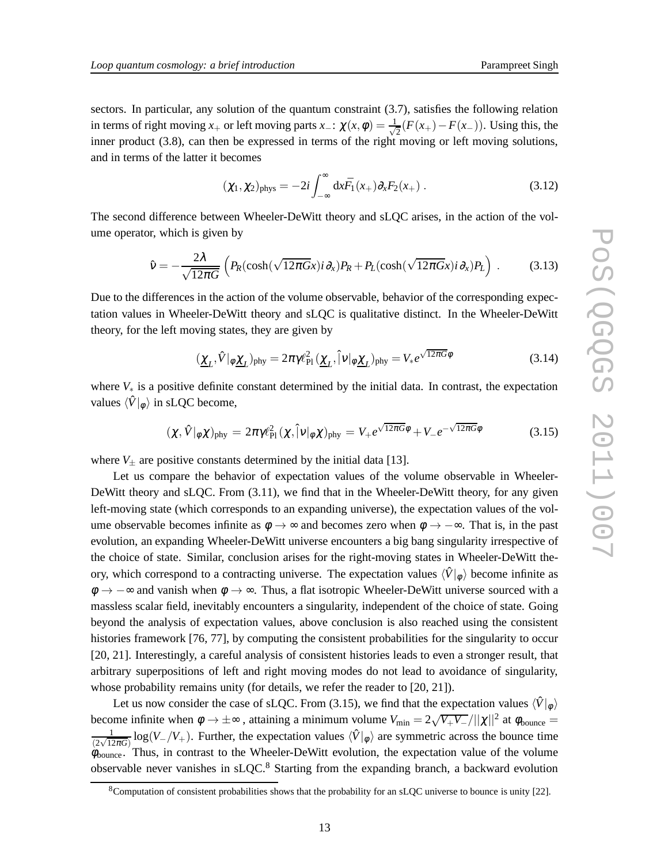sectors. In particular, any solution of the quantum constraint (3.7), satisfies the following relation in terms of right moving *x*<sub>+</sub> or left moving parts *x*<sub>−</sub>:  $\chi(x, \phi) = \frac{1}{\sqrt{x}}$  $\frac{1}{2}(F(x_{+})-F(x_{-}))$ . Using this, the inner product (3.8), can then be expressed in terms of the right moving or left moving solutions, and in terms of the latter it becomes

$$
(\chi_1, \chi_2)_{\text{phys}} = -2i \int_{-\infty}^{\infty} dx \bar{F}_1(x_+) \partial_x F_2(x_+) . \qquad (3.12)
$$

The second difference between Wheeler-DeWitt theory and sLQC arises, in the action of the volume operator, which is given by

$$
\hat{v} = -\frac{2\lambda}{\sqrt{12\pi G}} \left( P_R(\cosh(\sqrt{12\pi G}x)i\partial_x) P_R + P_L(\cosh(\sqrt{12\pi G}x)i\partial_x) P_L \right) . \tag{3.13}
$$

Due to the differences in the action of the volume observable, behavior of the corresponding expectation values in Wheeler-DeWitt theory and sLQC is qualitative distinct. In the Wheeler-DeWitt theory, for the left moving states, they are given by

$$
(\underline{\chi}_L, \hat{V}|_{\phi} \underline{\chi}_L)_{\text{phy}} = 2\pi \gamma \ell_{\text{Pl}}^2 (\underline{\chi}_L, \hat{V}|_{\phi} \underline{\chi}_L)_{\text{phy}} = V_* e^{\sqrt{12\pi G} \phi}
$$
(3.14)

where *V*<sup>∗</sup> is a positive definite constant determined by the initial data. In contrast, the expectation values  $\langle \hat{V} |_{\phi} \rangle$  in sLQC become,

$$
(\chi, \hat{V}|_{\phi}\chi)_{\text{phy}} = 2\pi \gamma \ell_{\text{Pl}}^2 (\chi, \hat{V}|_{\phi}\chi)_{\text{phy}} = V_{+}e^{\sqrt{12\pi G}\phi} + V_{-}e^{-\sqrt{12\pi G}\phi}
$$
(3.15)

where  $V_{\pm}$  are positive constants determined by the initial data [13].

Let us compare the behavior of expectation values of the volume observable in Wheeler-DeWitt theory and sLQC. From (3.11), we find that in the Wheeler-DeWitt theory, for any given left-moving state (which corresponds to an expanding universe), the expectation values of the volume observable becomes infinite as  $\phi \to \infty$  and becomes zero when  $\phi \to -\infty$ . That is, in the past evolution, an expanding Wheeler-DeWitt universe encounters a big bang singularity irrespective of the choice of state. Similar, conclusion arises for the right-moving states in Wheeler-DeWitt theory, which correspond to a contracting universe. The expectation values  $\langle \hat{V} |_{\phi} \rangle$  become infinite as  $\phi \rightarrow -\infty$  and vanish when  $\phi \rightarrow \infty$ . Thus, a flat isotropic Wheeler-DeWitt universe sourced with a massless scalar field, inevitably encounters a singularity, independent of the choice of state. Going beyond the analysis of expectation values, above conclusion is also reached using the consistent histories framework [76, 77], by computing the consistent probabilities for the singularity to occur [20, 21]. Interestingly, a careful analysis of consistent histories leads to even a stronger result, that arbitrary superpositions of left and right moving modes do not lead to avoidance of singularity, whose probability remains unity (for details, we refer the reader to [20, 21]).

Let us now consider the case of sLQC. From (3.15), we find that the expectation values  $\langle \hat{V} |_{\phi} \rangle$ become infinite when  $\phi \to \pm \infty$ , attaining a minimum volume  $V_{\text{min}} = 2\sqrt{V_{+}V_{-}}/||\chi||^{2}$  at  $\phi_{\text{bounce}} =$ 1  $\frac{1}{(2\sqrt{12\pi G})}\log(V_-/V_+)$ . Further, the expectation values  $\langle \hat{V} |_{\phi}$  are symmetric across the bounce time  $\phi_{\text{bounce}}$ . Thus, in contrast to the Wheeler-DeWitt evolution, the expectation value of the volume observable never vanishes in  $\text{SLOC}^8$  Starting from the expanding branch, a backward evolution

<sup>&</sup>lt;sup>8</sup>Computation of consistent probabilities shows that the probability for an sLQC universe to bounce is unity [22].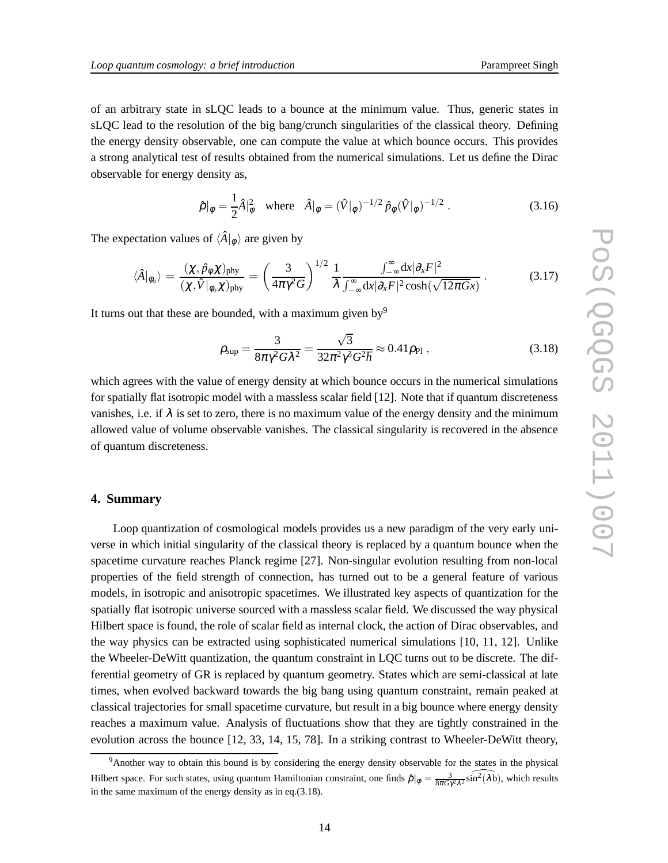of an arbitrary state in sLQC leads to a bounce at the minimum value. Thus, generic states in sLQC lead to the resolution of the big bang/crunch singularities of the classical theory. Defining the energy density observable, one can compute the value at which bounce occurs. This provides a strong analytical test of results obtained from the numerical simulations. Let us define the Dirac observable for energy density as,

$$
\hat{\rho}|_{\phi} = \frac{1}{2}\hat{A}|_{\phi}^{2} \quad \text{where} \quad \hat{A}|_{\phi} = (\hat{V}|_{\phi})^{-1/2} \hat{p}_{\phi}(\hat{V}|_{\phi})^{-1/2} \,. \tag{3.16}
$$

The expectation values of  $\langle \hat{A} |_{\phi} \rangle$  are given by

$$
\langle \hat{A} |_{\phi_o} \rangle = \frac{(\chi, \hat{p}_{\phi} \chi)_{\text{phy}}}{(\chi, \hat{V} |_{\phi_o} \chi)_{\text{phy}}} = \left(\frac{3}{4\pi \gamma^2 G}\right)^{1/2} \frac{1}{\lambda} \frac{\int_{-\infty}^{\infty} dx |\partial_x F|^2}{\int_{-\infty}^{\infty} dx |\partial_x F|^2 \cosh(\sqrt{12\pi Gx})} \,. \tag{3.17}
$$

It turns out that these are bounded, with a maximum given by  $9^9$ 

$$
\rho_{\rm sup} = \frac{3}{8\pi\gamma^2 G \lambda^2} = \frac{\sqrt{3}}{32\pi^2 \gamma^3 G^2 \hbar} \approx 0.41 \rho_{\rm Pl} , \qquad (3.18)
$$

which agrees with the value of energy density at which bounce occurs in the numerical simulations for spatially flat isotropic model with a massless scalar field [12]. Note that if quantum discreteness vanishes, i.e. if  $\lambda$  is set to zero, there is no maximum value of the energy density and the minimum allowed value of volume observable vanishes. The classical singularity is recovered in the absence of quantum discreteness.

#### **4. Summary**

Loop quantization of cosmological models provides us a new paradigm of the very early universe in which initial singularity of the classical theory is replaced by a quantum bounce when the spacetime curvature reaches Planck regime [27]. Non-singular evolution resulting from non-local properties of the field strength of connection, has turned out to be a general feature of various models, in isotropic and anisotropic spacetimes. We illustrated key aspects of quantization for the spatially flat isotropic universe sourced with a massless scalar field. We discussed the way physical Hilbert space is found, the role of scalar field as internal clock, the action of Dirac observables, and the way physics can be extracted using sophisticated numerical simulations [10, 11, 12]. Unlike the Wheeler-DeWitt quantization, the quantum constraint in LQC turns out to be discrete. The differential geometry of GR is replaced by quantum geometry. States which are semi-classical at late times, when evolved backward towards the big bang using quantum constraint, remain peaked at classical trajectories for small spacetime curvature, but result in a big bounce where energy density reaches a maximum value. Analysis of fluctuations show that they are tightly constrained in the evolution across the bounce [12, 33, 14, 15, 78]. In a striking contrast to Wheeler-DeWitt theory,

<sup>&</sup>lt;sup>9</sup>Another way to obtain this bound is by considering the energy density observable for the states in the physical Hilbert space. For such states, using quantum Hamiltonian constraint, one finds  $\hat{\rho}|_{\phi} = \frac{3}{8\pi G \gamma^2 \lambda^2} \widehat{\sin^2(\lambda b)}$ , which results in the same maximum of the energy density as in eq.(3.18).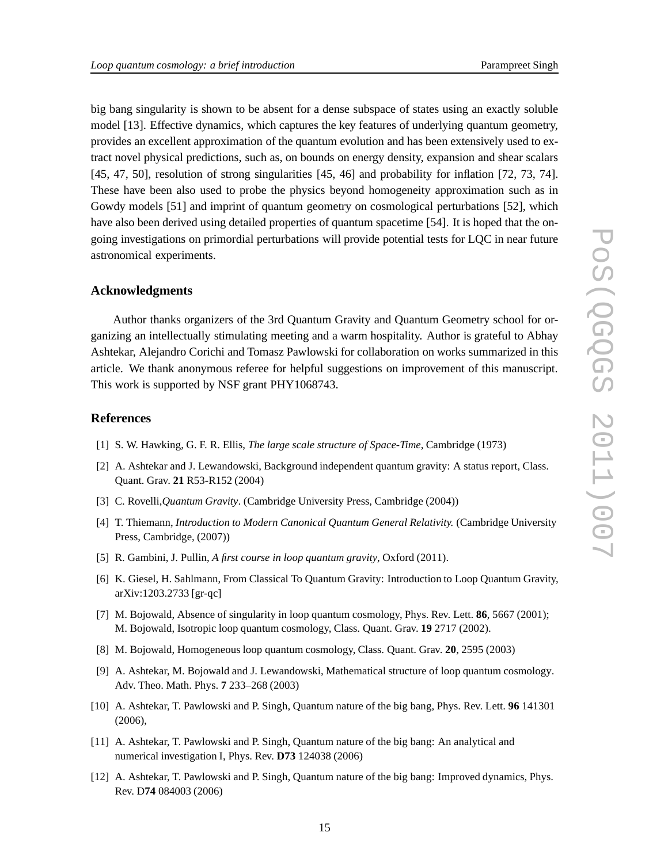big bang singularity is shown to be absent for a dense subspace of states using an exactly soluble model [13]. Effective dynamics, which captures the key features of underlying quantum geometry, provides an excellent approximation of the quantum evolution and has been extensively used to extract novel physical predictions, such as, on bounds on energy density, expansion and shear scalars [45, 47, 50], resolution of strong singularities [45, 46] and probability for inflation [72, 73, 74]. These have been also used to probe the physics beyond homogeneity approximation such as in Gowdy models [51] and imprint of quantum geometry on cosmological perturbations [52], which have also been derived using detailed properties of quantum spacetime [54]. It is hoped that the ongoing investigations on primordial perturbations will provide potential tests for LQC in near future astronomical experiments.

### **Acknowledgments**

Author thanks organizers of the 3rd Quantum Gravity and Quantum Geometry school for organizing an intellectually stimulating meeting and a warm hospitality. Author is grateful to Abhay Ashtekar, Alejandro Corichi and Tomasz Pawlowski for collaboration on works summarized in this article. We thank anonymous referee for helpful suggestions on improvement of this manuscript. This work is supported by NSF grant PHY1068743.

## **References**

- [1] S. W. Hawking, G. F. R. Ellis, *The large scale structure of Space-Time*, Cambridge (1973)
- [2] A. Ashtekar and J. Lewandowski, Background independent quantum gravity: A status report, Class. Quant. Grav. **21** R53-R152 (2004)
- [3] C. Rovelli,*Quantum Gravity*. (Cambridge University Press, Cambridge (2004))
- [4] T. Thiemann, *Introduction to Modern Canonical Quantum General Relativity.* (Cambridge University Press, Cambridge, (2007))
- [5] R. Gambini, J. Pullin, *A first course in loop quantum gravity*, Oxford (2011).
- [6] K. Giesel, H. Sahlmann, From Classical To Quantum Gravity: Introduction to Loop Quantum Gravity, arXiv:1203.2733 [gr-qc]
- [7] M. Bojowald, Absence of singularity in loop quantum cosmology, Phys. Rev. Lett. **86**, 5667 (2001); M. Bojowald, Isotropic loop quantum cosmology, Class. Quant. Grav. **19** 2717 (2002).
- [8] M. Bojowald, Homogeneous loop quantum cosmology, Class. Quant. Grav. **20**, 2595 (2003)
- [9] A. Ashtekar, M. Bojowald and J. Lewandowski, Mathematical structure of loop quantum cosmology. Adv. Theo. Math. Phys. **7** 233–268 (2003)
- [10] A. Ashtekar, T. Pawlowski and P. Singh, Quantum nature of the big bang, Phys. Rev. Lett. **96** 141301 (2006),
- [11] A. Ashtekar, T. Pawlowski and P. Singh, Quantum nature of the big bang: An analytical and numerical investigation I, Phys. Rev. **D73** 124038 (2006)
- [12] A. Ashtekar, T. Pawlowski and P. Singh, Quantum nature of the big bang: Improved dynamics, Phys. Rev. D**74** 084003 (2006)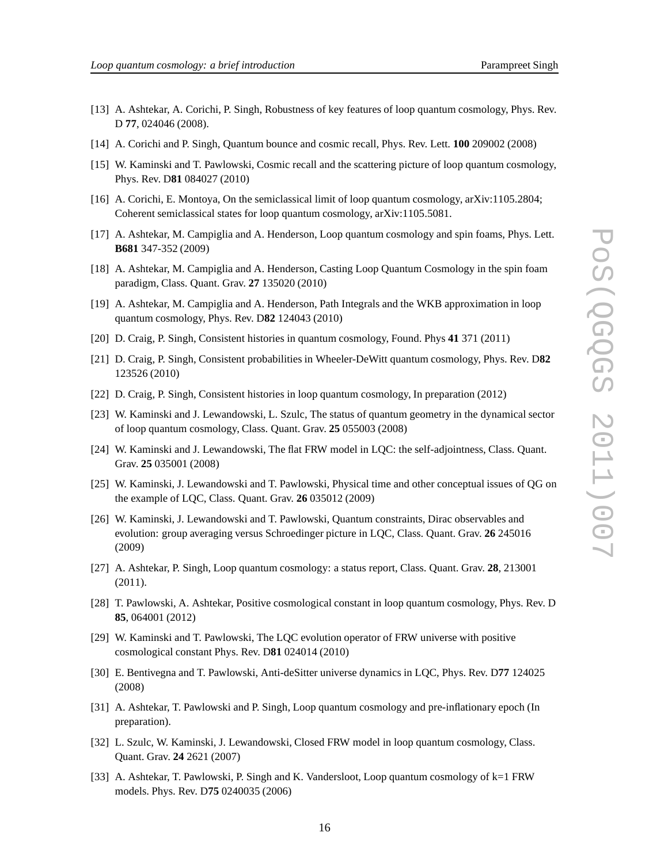- [13] A. Ashtekar, A. Corichi, P. Singh, Robustness of key features of loop quantum cosmology, Phys. Rev. D **77**, 024046 (2008).
- [14] A. Corichi and P. Singh, Quantum bounce and cosmic recall, Phys. Rev. Lett. **100** 209002 (2008)
- [15] W. Kaminski and T. Pawlowski, Cosmic recall and the scattering picture of loop quantum cosmology, Phys. Rev. D**81** 084027 (2010)
- [16] A. Corichi, E. Montoya, On the semiclassical limit of loop quantum cosmology, arXiv:1105.2804; Coherent semiclassical states for loop quantum cosmology, arXiv:1105.5081.
- [17] A. Ashtekar, M. Campiglia and A. Henderson, Loop quantum cosmology and spin foams, Phys. Lett. **B681** 347-352 (2009)
- [18] A. Ashtekar, M. Campiglia and A. Henderson, Casting Loop Quantum Cosmology in the spin foam paradigm, Class. Quant. Grav. **27** 135020 (2010)
- [19] A. Ashtekar, M. Campiglia and A. Henderson, Path Integrals and the WKB approximation in loop quantum cosmology, Phys. Rev. D**82** 124043 (2010)
- [20] D. Craig, P. Singh, Consistent histories in quantum cosmology, Found. Phys **41** 371 (2011)
- [21] D. Craig, P. Singh, Consistent probabilities in Wheeler-DeWitt quantum cosmology, Phys. Rev. D**82** 123526 (2010)
- [22] D. Craig, P. Singh, Consistent histories in loop quantum cosmology, In preparation (2012)
- [23] W. Kaminski and J. Lewandowski, L. Szulc, The status of quantum geometry in the dynamical sector of loop quantum cosmology, Class. Quant. Grav. **25** 055003 (2008)
- [24] W. Kaminski and J. Lewandowski, The flat FRW model in LQC: the self-adjointness, Class. Quant. Grav. **25** 035001 (2008)
- [25] W. Kaminski, J. Lewandowski and T. Pawlowski, Physical time and other conceptual issues of QG on the example of LQC, Class. Quant. Grav. **26** 035012 (2009)
- [26] W. Kaminski, J. Lewandowski and T. Pawlowski, Quantum constraints, Dirac observables and evolution: group averaging versus Schroedinger picture in LQC, Class. Quant. Grav. **26** 245016 (2009)
- [27] A. Ashtekar, P. Singh, Loop quantum cosmology: a status report, Class. Quant. Grav. **28**, 213001 (2011).
- [28] T. Pawlowski, A. Ashtekar, Positive cosmological constant in loop quantum cosmology, Phys. Rev. D **85**, 064001 (2012)
- [29] W. Kaminski and T. Pawlowski, The LQC evolution operator of FRW universe with positive cosmological constant Phys. Rev. D**81** 024014 (2010)
- [30] E. Bentivegna and T. Pawlowski, Anti-deSitter universe dynamics in LQC, Phys. Rev. D**77** 124025 (2008)
- [31] A. Ashtekar, T. Pawlowski and P. Singh, Loop quantum cosmology and pre-inflationary epoch (In preparation).
- [32] L. Szulc, W. Kaminski, J. Lewandowski, Closed FRW model in loop quantum cosmology, Class. Quant. Grav. **24** 2621 (2007)
- [33] A. Ashtekar, T. Pawlowski, P. Singh and K. Vandersloot, Loop quantum cosmology of k=1 FRW models. Phys. Rev. D**75** 0240035 (2006)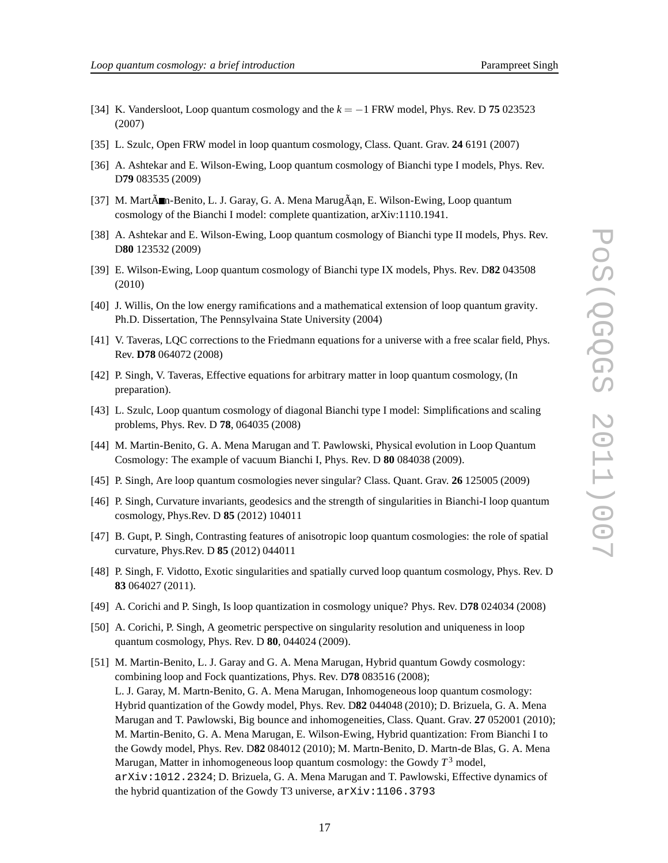- 
- [34] K. Vandersloot, Loop quantum cosmology and the *k* = −1 FRW model, Phys. Rev. D **75** 023523 (2007)
- [35] L. Szulc, Open FRW model in loop quantum cosmology, Class. Quant. Grav. **24** 6191 (2007)
- [36] A. Ashtekar and E. Wilson-Ewing, Loop quantum cosmology of Bianchi type I models, Phys. Rev. D**79** 083535 (2009)
- [37] M. Mart $\tilde{A}$ m-Benito, L. J. Garay, G. A. Mena Marug $\tilde{A}$ an, E. Wilson-Ewing, Loop quantum cosmology of the Bianchi I model: complete quantization, arXiv:1110.1941.
- [38] A. Ashtekar and E. Wilson-Ewing, Loop quantum cosmology of Bianchi type II models, Phys. Rev. D**80** 123532 (2009)
- [39] E. Wilson-Ewing, Loop quantum cosmology of Bianchi type IX models, Phys. Rev. D**82** 043508 (2010)
- [40] J. Willis, On the low energy ramifications and a mathematical extension of loop quantum gravity. Ph.D. Dissertation, The Pennsylvaina State University (2004)
- [41] V. Taveras, LQC corrections to the Friedmann equations for a universe with a free scalar field, Phys. Rev. **D78** 064072 (2008)
- [42] P. Singh, V. Taveras, Effective equations for arbitrary matter in loop quantum cosmology, (In preparation).
- [43] L. Szulc, Loop quantum cosmology of diagonal Bianchi type I model: Simplifications and scaling problems, Phys. Rev. D **78**, 064035 (2008)
- [44] M. Martin-Benito, G. A. Mena Marugan and T. Pawlowski, Physical evolution in Loop Quantum Cosmology: The example of vacuum Bianchi I, Phys. Rev. D **80** 084038 (2009).
- [45] P. Singh, Are loop quantum cosmologies never singular? Class. Quant. Grav. **26** 125005 (2009)
- [46] P. Singh, Curvature invariants, geodesics and the strength of singularities in Bianchi-I loop quantum cosmology, Phys.Rev. D **85** (2012) 104011
- [47] B. Gupt, P. Singh, Contrasting features of anisotropic loop quantum cosmologies: the role of spatial curvature, Phys.Rev. D **85** (2012) 044011
- [48] P. Singh, F. Vidotto, Exotic singularities and spatially curved loop quantum cosmology, Phys. Rev. D **83** 064027 (2011).
- [49] A. Corichi and P. Singh, Is loop quantization in cosmology unique? Phys. Rev. D**78** 024034 (2008)
- [50] A. Corichi, P. Singh, A geometric perspective on singularity resolution and uniqueness in loop quantum cosmology, Phys. Rev. D **80**, 044024 (2009).
- [51] M. Martin-Benito, L. J. Garay and G. A. Mena Marugan, Hybrid quantum Gowdy cosmology: combining loop and Fock quantizations, Phys. Rev. D**78** 083516 (2008); L. J. Garay, M. Martn-Benito, G. A. Mena Marugan, Inhomogeneous loop quantum cosmology: Hybrid quantization of the Gowdy model, Phys. Rev. D**82** 044048 (2010); D. Brizuela, G. A. Mena Marugan and T. Pawlowski, Big bounce and inhomogeneities, Class. Quant. Grav. **27** 052001 (2010); M. Martin-Benito, G. A. Mena Marugan, E. Wilson-Ewing, Hybrid quantization: From Bianchi I to the Gowdy model, Phys. Rev. D**82** 084012 (2010); M. Martn-Benito, D. Martn-de Blas, G. A. Mena Marugan, Matter in inhomogeneous loop quantum cosmology: the Gowdy *T* <sup>3</sup> model, arXiv:1012.2324; D. Brizuela, G. A. Mena Marugan and T. Pawlowski, Effective dynamics of the hybrid quantization of the Gowdy T3 universe, arXiv:1106.3793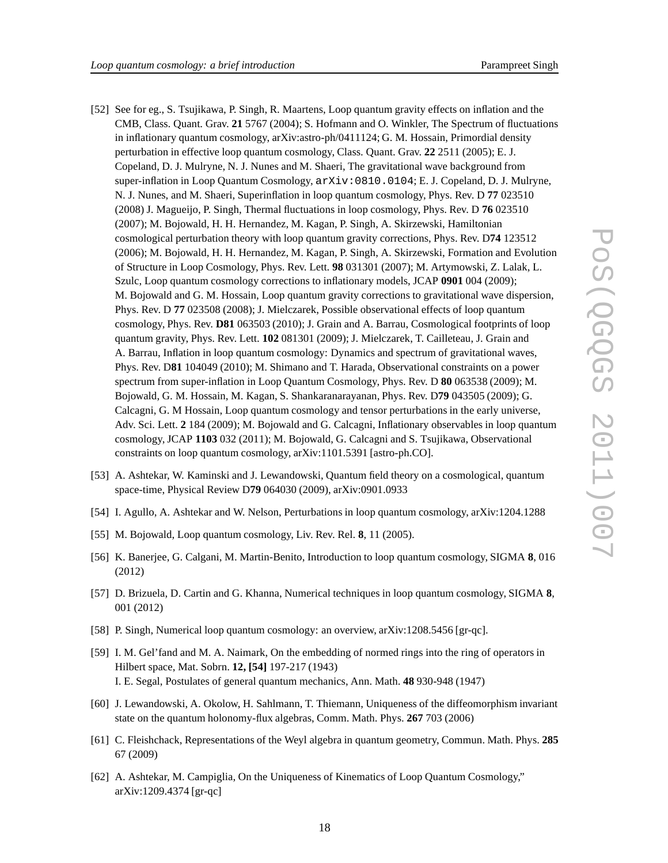- [52] See for eg., S. Tsujikawa, P. Singh, R. Maartens, Loop quantum gravity effects on inflation and the CMB, Class. Quant. Grav. **21** 5767 (2004); S. Hofmann and O. Winkler, The Spectrum of fluctuations in inflationary quantum cosmology, arXiv:astro-ph/0411124; G. M. Hossain, Primordial density perturbation in effective loop quantum cosmology, Class. Quant. Grav. **22** 2511 (2005); E. J. Copeland, D. J. Mulryne, N. J. Nunes and M. Shaeri, The gravitational wave background from super-inflation in Loop Quantum Cosmology,  $arXiv:0810.0104$ ; E. J. Copeland, D. J. Mulryne, N. J. Nunes, and M. Shaeri, Superinflation in loop quantum cosmology, Phys. Rev. D **77** 023510 (2008) J. Magueijo, P. Singh, Thermal fluctuations in loop cosmology, Phys. Rev. D **76** 023510 (2007); M. Bojowald, H. H. Hernandez, M. Kagan, P. Singh, A. Skirzewski, Hamiltonian cosmological perturbation theory with loop quantum gravity corrections, Phys. Rev. D**74** 123512 (2006); M. Bojowald, H. H. Hernandez, M. Kagan, P. Singh, A. Skirzewski, Formation and Evolution of Structure in Loop Cosmology, Phys. Rev. Lett. **98** 031301 (2007); M. Artymowski, Z. Lalak, L. Szulc, Loop quantum cosmology corrections to inflationary models, JCAP **0901** 004 (2009); M. Bojowald and G. M. Hossain, Loop quantum gravity corrections to gravitational wave dispersion, Phys. Rev. D **77** 023508 (2008); J. Mielczarek, Possible observational effects of loop quantum cosmology, Phys. Rev. **D81** 063503 (2010); J. Grain and A. Barrau, Cosmological footprints of loop quantum gravity, Phys. Rev. Lett. **102** 081301 (2009); J. Mielczarek, T. Cailleteau, J. Grain and A. Barrau, Inflation in loop quantum cosmology: Dynamics and spectrum of gravitational waves, Phys. Rev. D**81** 104049 (2010); M. Shimano and T. Harada, Observational constraints on a power spectrum from super-inflation in Loop Quantum Cosmology, Phys. Rev. D **80** 063538 (2009); M. Bojowald, G. M. Hossain, M. Kagan, S. Shankaranarayanan, Phys. Rev. D**79** 043505 (2009); G. Calcagni, G. M Hossain, Loop quantum cosmology and tensor perturbations in the early universe, Adv. Sci. Lett. **2** 184 (2009); M. Bojowald and G. Calcagni, Inflationary observables in loop quantum cosmology, JCAP **1103** 032 (2011); M. Bojowald, G. Calcagni and S. Tsujikawa, Observational constraints on loop quantum cosmology, arXiv:1101.5391 [astro-ph.CO].
- [53] A. Ashtekar, W. Kaminski and J. Lewandowski, Quantum field theory on a cosmological, quantum space-time, Physical Review D**79** 064030 (2009), arXiv:0901.0933
- [54] I. Agullo, A. Ashtekar and W. Nelson, Perturbations in loop quantum cosmology, arXiv:1204.1288
- [55] M. Bojowald, Loop quantum cosmology, Liv. Rev. Rel. **8**, 11 (2005).
- [56] K. Banerjee, G. Calgani, M. Martin-Benito, Introduction to loop quantum cosmology, SIGMA **8**, 016 (2012)
- [57] D. Brizuela, D. Cartin and G. Khanna, Numerical techniques in loop quantum cosmology, SIGMA **8**, 001 (2012)
- [58] P. Singh, Numerical loop quantum cosmology: an overview, arXiv:1208.5456 [gr-qc].
- [59] I. M. Gel'fand and M. A. Naimark, On the embedding of normed rings into the ring of operators in Hilbert space, Mat. Sobrn. **12, [54]** 197-217 (1943) I. E. Segal, Postulates of general quantum mechanics, Ann. Math. **48** 930-948 (1947)
- [60] J. Lewandowski, A. Okolow, H. Sahlmann, T. Thiemann, Uniqueness of the diffeomorphism invariant state on the quantum holonomy-flux algebras, Comm. Math. Phys. **267** 703 (2006)
- [61] C. Fleishchack, Representations of the Weyl algebra in quantum geometry, Commun. Math. Phys. **285** 67 (2009)
- [62] A. Ashtekar, M. Campiglia, On the Uniqueness of Kinematics of Loop Quantum Cosmology," arXiv:1209.4374 [gr-qc]